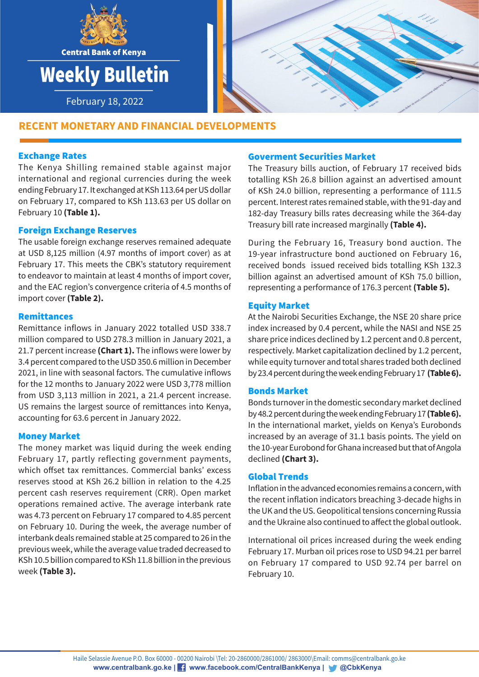



# **RECENT MONETARY AND FINANCIAL DEVELOPMENTS RECENT MONETARY AND FINANCIAL DEVELOPMENTS**

# Exchange Rates

The Kenya Shilling remained stable against major international and regional currencies during the week ending February 17. It exchanged at KSh 113.64 per US dollar on February 17, compared to KSh 113.63 per US dollar on February 10 **(Table 1).** 

## Foreign Exchange Reserves

The usable foreign exchange reserves remained adequate at USD 8,125 million (4.97 months of import cover) as at February 17. This meets the CBK's statutory requirement to endeavor to maintain at least 4 months of import cover, and the EAC region's convergence criteria of 4.5 months of import cover **(Table 2).**

## Remittances

Remittance inflows in January 2022 totalled USD 338.7 million compared to USD 278.3 million in January 2021, a 21.7 percent increase **(Chart 1).** The inflows were lower by 3.4 percent compared to the USD 350.6 million in December 2021, in line with seasonal factors. The cumulative inflows for the 12 months to January 2022 were USD 3,778 million from USD 3,113 million in 2021, a 21.4 percent increase. US remains the largest source of remittances into Kenya, accounting for 63.6 percent in January 2022.

## Money Market

The money market was liquid during the week ending February 17, partly reflecting government payments, which offset tax remittances. Commercial banks' excess reserves stood at KSh 26.2 billion in relation to the 4.25 percent cash reserves requirement (CRR). Open market operations remained active. The average interbank rate was 4.73 percent on February 17 compared to 4.85 percent on February 10. During the week, the average number of interbank deals remained stable at 25 compared to 26 in the previous week, while the average value traded decreased to KSh 10.5 billion compared to KSh 11.8 billion in the previous week **(Table 3).**

### Goverment Securities Market

The Treasury bills auction, of February 17 received bids totalling KSh 26.8 billion against an advertised amount of KSh 24.0 billion, representing a performance of 111.5 percent. Interest rates remained stable, with the 91-day and 182-day Treasury bills rates decreasing while the 364-day Treasury bill rate increased marginally **(Table 4).**

During the February 16, Treasury bond auction. The 19-year infrastructure bond auctioned on February 16, received bonds issued received bids totalling KSh 132.3 billion against an advertised amount of KSh 75.0 billion, representing a performance of 176.3 percent **(Table 5).**

## Equity Market

At the Nairobi Securities Exchange, the NSE 20 share price index increased by 0.4 percent, while the NASI and NSE 25 share price indices declined by 1.2 percent and 0.8 percent, respectively. Market capitalization declined by 1.2 percent, while equity turnover and total shares traded both declined by 23.4 percent during the week ending February 17 **(Table 6).**

## Bonds Market

Bonds turnover in the domestic secondary market declined by 48.2 percent during the week ending February 17 **(Table 6).** In the international market, yields on Kenya's Eurobonds increased by an average of 31.1 basis points. The yield on the 10-year Eurobond for Ghana increased but that of Angola declined **(Chart 3).**

#### Global Trends

Inflation in the advanced economies remains a concern, with the recent inflation indicators breaching 3-decade highs in the UK and the US. Geopolitical tensions concerning Russia and the Ukraine also continued to affect the global outlook.

International oil prices increased during the week ending February 17. Murban oil prices rose to USD 94.21 per barrel on February 17 compared to USD 92.74 per barrel on February 10.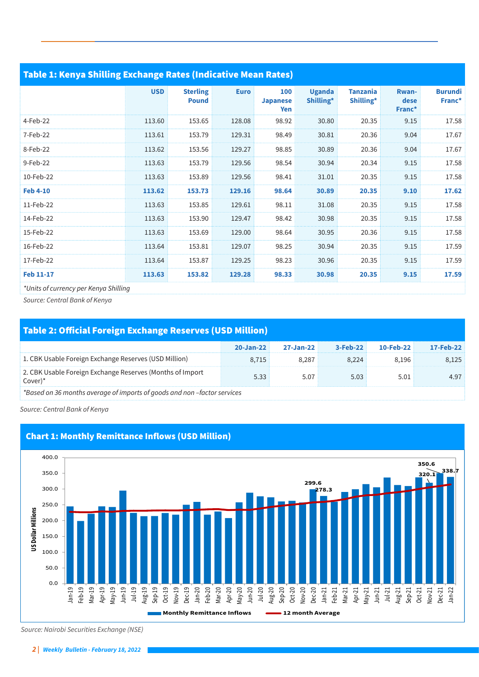| Table 1: Kenya Shilling Exchange Rates (Indicative Mean Rates) |            |                                 |             |                               |                            |                              |                         |                          |  |  |  |  |
|----------------------------------------------------------------|------------|---------------------------------|-------------|-------------------------------|----------------------------|------------------------------|-------------------------|--------------------------|--|--|--|--|
|                                                                | <b>USD</b> | <b>Sterling</b><br><b>Pound</b> | <b>Euro</b> | 100<br><b>Japanese</b><br>Yen | <b>Uganda</b><br>Shilling* | <b>Tanzania</b><br>Shilling* | Rwan-<br>dese<br>Franc* | <b>Burundi</b><br>Franc* |  |  |  |  |
| 4-Feb-22                                                       | 113.60     | 153.65                          | 128.08      | 98.92                         | 30.80                      | 20.35                        | 9.15                    | 17.58                    |  |  |  |  |
| 7-Feb-22                                                       | 113.61     | 153.79                          | 129.31      | 98.49                         | 30.81                      | 20.36                        | 9.04                    | 17.67                    |  |  |  |  |
| 8-Feb-22                                                       | 113.62     | 153.56                          | 129.27      | 98.85                         | 30.89                      | 20.36                        | 9.04                    | 17.67                    |  |  |  |  |
| 9-Feb-22                                                       | 113.63     | 153.79                          | 129.56      | 98.54                         | 30.94                      | 20.34                        | 9.15                    | 17.58                    |  |  |  |  |
| 10-Feb-22                                                      | 113.63     | 153.89                          | 129.56      | 98.41                         | 31.01                      | 20.35                        | 9.15                    | 17.58                    |  |  |  |  |
| <b>Feb 4-10</b>                                                | 113.62     | 153.73                          | 129.16      | 98.64                         | 30.89                      | 20.35                        | 9.10                    | 17.62                    |  |  |  |  |
| 11-Feb-22                                                      | 113.63     | 153.85                          | 129.61      | 98.11                         | 31.08                      | 20.35                        | 9.15                    | 17.58                    |  |  |  |  |
| 14-Feb-22                                                      | 113.63     | 153.90                          | 129.47      | 98.42                         | 30.98                      | 20.35                        | 9.15                    | 17.58                    |  |  |  |  |
| 15-Feb-22                                                      | 113.63     | 153.69                          | 129.00      | 98.64                         | 30.95                      | 20.36                        | 9.15                    | 17.58                    |  |  |  |  |
| 16-Feb-22                                                      | 113.64     | 153.81                          | 129.07      | 98.25                         | 30.94                      | 20.35                        | 9.15                    | 17.59                    |  |  |  |  |
| 17-Feb-22                                                      | 113.64     | 153.87                          | 129.25      | 98.23                         | 30.96                      | 20.35                        | 9.15                    | 17.59                    |  |  |  |  |
| <b>Feb 11-17</b>                                               | 113.63     | 153.82                          | 129.28      | 98.33                         | 30.98                      | 20.35                        | 9.15                    | 17.59                    |  |  |  |  |
| *Units of currency per Kenya Shilling                          |            |                                 |             |                               |                            |                              |                         |                          |  |  |  |  |

*Source: Central Bank of Kenya*

# Table 2: Official Foreign Exchange Reserves (USD Million)

|                                                                         | $20 - Jan-22$ | 27-Jan-22 | 3-Feb-22 | 10-Feb-22 | 17-Feb-22 |
|-------------------------------------------------------------------------|---------------|-----------|----------|-----------|-----------|
| 1. CBK Usable Foreign Exchange Reserves (USD Million)                   | 8.715         | 8.287     | 8.224    | 8.196     | 8,125     |
| 2. CBK Usable Foreign Exchange Reserves (Months of Import<br>$Cover)^*$ | 5.33          | 5.07      | 5.03     | 5.01      | 4.97      |
| *Rased on 36 months querage of imports of goods and non-factor services |               |           |          |           |           |

*\*Based on 36 months average of imports of goods and non –factor services*

*Source: Central Bank of Kenya*



# Chart 1: Monthly Remittance Inflows (USD Million)

 *Source: Nairobi Securities Exchange (NSE)*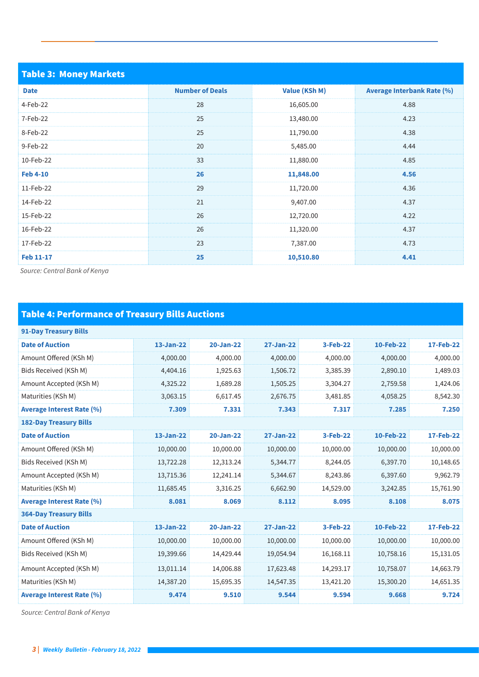| <b>Table 3: Money Markets</b> |                        |               |                                   |
|-------------------------------|------------------------|---------------|-----------------------------------|
| <b>Date</b>                   | <b>Number of Deals</b> | Value (KSh M) | <b>Average Interbank Rate (%)</b> |
| 4-Feb-22                      | 28                     | 16,605.00     | 4.88                              |
| 7-Feb-22                      | 25                     | 13,480.00     | 4.23                              |
| 8-Feb-22                      | 25                     | 11,790.00     | 4.38                              |
| 9-Feb-22                      | 20                     | 5,485.00      | 4.44                              |
| 10-Feb-22                     | 33                     | 11,880.00     | 4.85                              |
| <b>Feb 4-10</b>               | 26                     | 11,848.00     | 4.56                              |
| 11-Feb-22                     | 29                     | 11,720.00     | 4.36                              |
| 14-Feb-22                     | 21                     | 9,407.00      | 4.37                              |
| 15-Feb-22                     | 26                     | 12,720.00     | 4.22                              |
| 16-Feb-22                     | 26                     | 11,320.00     | 4.37                              |
| 17-Feb-22                     | 23                     | 7,387.00      | 4.73                              |
| <b>Feb 11-17</b>              | 25                     | 10,510.80     | 4.41                              |

*Source: Central Bank of Kenya*

# Table 4: Performance of Treasury Bills Auctions

| <b>91-Day Treasury Bills</b>     |               |               |                  |           |           |                  |  |  |  |  |
|----------------------------------|---------------|---------------|------------------|-----------|-----------|------------------|--|--|--|--|
| <b>Date of Auction</b>           | 13-Jan-22     | $20 - Jan-22$ | <b>27-Jan-22</b> | 3-Feb-22  | 10-Feb-22 | 17-Feb-22        |  |  |  |  |
| Amount Offered (KSh M)           | 4,000.00      | 4,000.00      | 4,000.00         | 4,000.00  | 4,000.00  | 4,000.00         |  |  |  |  |
| Bids Received (KSh M)            | 4,404.16      | 1,925.63      | 1,506.72         | 3,385.39  | 2,890.10  | 1,489.03         |  |  |  |  |
| Amount Accepted (KSh M)          | 4,325.22      | 1,689.28      | 1,505.25         | 3,304.27  | 2,759.58  | 1,424.06         |  |  |  |  |
| Maturities (KSh M)               | 3,063.15      | 6,617.45      | 2,676.75         | 3,481.85  | 4,058.25  | 8,542.30         |  |  |  |  |
| <b>Average Interest Rate (%)</b> | 7.309         | 7.331         | 7.343            | 7.317     | 7.285     | 7.250            |  |  |  |  |
| <b>182-Day Treasury Bills</b>    |               |               |                  |           |           |                  |  |  |  |  |
| <b>Date of Auction</b>           | $13 - Jan-22$ | $20 - Jan-22$ | 27-Jan-22        | 3-Feb-22  | 10-Feb-22 | <b>17-Feb-22</b> |  |  |  |  |
| Amount Offered (KSh M)           | 10,000.00     | 10,000.00     | 10,000.00        | 10,000.00 | 10,000.00 | 10,000.00        |  |  |  |  |
| Bids Received (KSh M)            | 13,722.28     | 12,313.24     | 5,344.77         | 8,244.05  | 6,397.70  | 10,148.65        |  |  |  |  |
| Amount Accepted (KSh M)          | 13,715.36     | 12,241.14     | 5,344.67         | 8,243.86  | 6,397.60  | 9,962.79         |  |  |  |  |
| Maturities (KSh M)               | 11,685.45     | 3,316.25      | 6,662.90         | 14,529.00 | 3,242.85  | 15,761.90        |  |  |  |  |
| <b>Average Interest Rate (%)</b> | 8.081         | 8.069         | 8.112            | 8.095     | 8.108     | 8.075            |  |  |  |  |
| <b>364-Day Treasury Bills</b>    |               |               |                  |           |           |                  |  |  |  |  |
| <b>Date of Auction</b>           | 13-Jan-22     | $20 - Jan-22$ | 27-Jan-22        | 3-Feb-22  | 10-Feb-22 | 17-Feb-22        |  |  |  |  |
| Amount Offered (KSh M)           | 10,000.00     | 10,000.00     | 10,000.00        | 10,000.00 | 10,000.00 | 10,000.00        |  |  |  |  |
| Bids Received (KSh M)            | 19,399.66     | 14,429.44     | 19,054.94        | 16,168.11 | 10,758.16 | 15,131.05        |  |  |  |  |
| Amount Accepted (KSh M)          | 13,011.14     | 14,006.88     | 17,623.48        | 14,293.17 | 10,758.07 | 14,663.79        |  |  |  |  |
| Maturities (KSh M)               | 14,387.20     | 15,695.35     | 14,547.35        | 13,421.20 | 15,300.20 | 14,651.35        |  |  |  |  |
| <b>Average Interest Rate (%)</b> | 9.474         | 9.510         | 9.544            | 9.594     | 9.668     | 9.724            |  |  |  |  |

*Source: Central Bank of Kenya*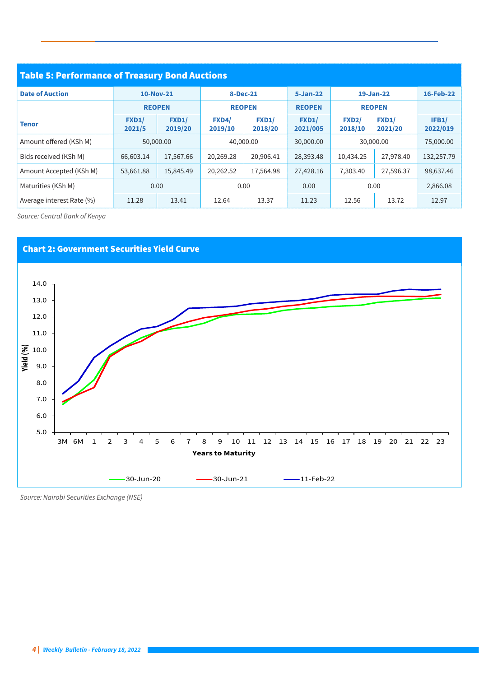| <b>Table 5: Performance of Treasury Bond Auctions</b> |                        |                                                 |                         |                         |                   |                         |                         |                   |  |  |
|-------------------------------------------------------|------------------------|-------------------------------------------------|-------------------------|-------------------------|-------------------|-------------------------|-------------------------|-------------------|--|--|
| <b>Date of Auction</b>                                | 10-Nov-21              |                                                 | 8-Dec-21                |                         | $5 - Jan-22$      | 19-Jan-22               |                         | 16-Feb-22         |  |  |
|                                                       |                        | <b>REOPEN</b><br><b>REOPEN</b><br><b>REOPEN</b> |                         |                         | <b>REOPEN</b>     |                         |                         |                   |  |  |
| <b>Tenor</b>                                          | <b>FXD1/</b><br>2021/5 | FXD1/<br>2019/20                                | <b>FXD4/</b><br>2019/10 | <b>FXD1/</b><br>2018/20 | FXD1/<br>2021/005 | <b>FXD2/</b><br>2018/10 | <b>FXD1/</b><br>2021/20 | IFB1/<br>2022/019 |  |  |
| Amount offered (KSh M)                                |                        | 50,000.00                                       | 40,000.00               |                         | 30,000.00         | 30,000.00               |                         | 75,000.00         |  |  |
| Bids received (KSh M)                                 | 66,603.14              | 17,567.66                                       | 20,269.28               | 20,906.41               | 28,393.48         | 10,434.25               | 27,978.40               | 132,257.79        |  |  |
| Amount Accepted (KSh M)                               | 53,661.88              | 15,845.49                                       | 20,262.52               | 17,564.98               | 27,428.16         | 7,303.40                | 27,596.37               | 98,637.46         |  |  |
| Maturities (KSh M)                                    | 0.00                   |                                                 | 0.00                    |                         | 0.00              |                         | 0.00                    | 2,866.08          |  |  |
| Average interest Rate (%)                             | 11.28                  | 13.41                                           | 12.64                   | 13.37                   | 11.23             | 12.56                   | 13.72                   | 12.97             |  |  |

*Source: Central Bank of Kenya*



 *Source: Nairobi Securities Exchange (NSE)*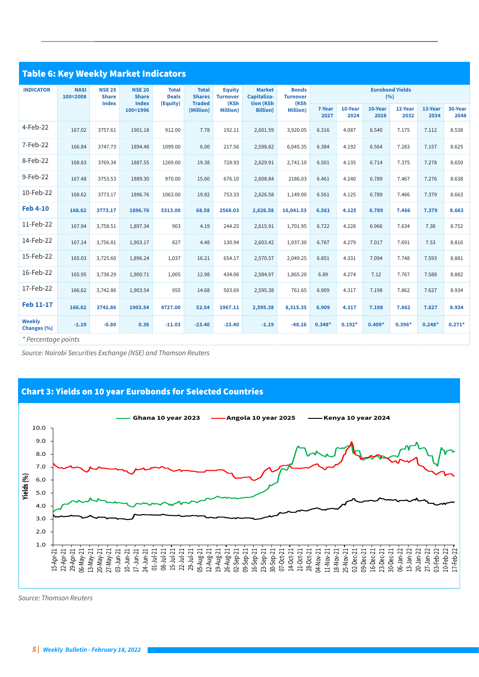| <b>Table 6: Key Weekly Market Indicators</b> |                                                                          |                                               |                                          |                                                |                                          |                                           |                                         |                                 |                |                 |                 |                 |                 |                 |
|----------------------------------------------|--------------------------------------------------------------------------|-----------------------------------------------|------------------------------------------|------------------------------------------------|------------------------------------------|-------------------------------------------|-----------------------------------------|---------------------------------|----------------|-----------------|-----------------|-----------------|-----------------|-----------------|
| <b>INDICATOR</b>                             | <b>NSE 25</b><br><b>NASI</b><br>100=2008<br><b>Share</b><br><b>Index</b> | <b>NSE 20</b><br><b>Share</b><br><b>Index</b> | <b>Total</b><br><b>Deals</b><br>(Equity) | <b>Total</b><br><b>Shares</b><br><b>Traded</b> | <b>Equity</b><br><b>Turnover</b><br>(KSh | <b>Market</b><br>Capitaliza-<br>tion (KSh | <b>Bonds</b><br><b>Turnover</b><br>(KSh | <b>Eurobond Yields</b><br>(9/6) |                |                 |                 |                 |                 |                 |
|                                              |                                                                          |                                               | 100=1996                                 |                                                | (Million)                                | <b>Million</b> )                          | <b>Billion</b> )                        | <b>Million</b> )                | 7-Year<br>2027 | 10-Year<br>2024 | 10-Year<br>2028 | 12-Year<br>2032 | 13-Year<br>2034 | 30-Year<br>2048 |
| 4-Feb-22                                     | 167.02                                                                   | 3757.61                                       | 1901.18                                  | 912.00                                         | 7.78                                     | 192.11                                    | 2,601.59                                | 3,920.05                        | 6.316          | 4.087           | 6.540           | 7.175           | 7.112           | 8.538           |
| 7-Feb-22                                     | 166.84                                                                   | 3747.73                                       | 1894.48                                  | 1099.00                                        | 6.00                                     | 217.56                                    | 2,598.82                                | 6,045.35                        | 6.384          | 4.192           | 6.564           | 7.283           | 7.157           | 8.625           |
| 8-Feb-22                                     | 168.83                                                                   | 3769.34                                       | 1887.55                                  | 1269.00                                        | 19.38                                    | 728.93                                    | 2,629.91                                | 2,741.10                        | 6.501          | 4.135           | 6.714           | 7.375           | 7.278           | 8.650           |
| 9-Feb-22                                     | 167.48                                                                   | 3753.53                                       | 1889.30                                  | 970.00                                         | 15.60                                    | 676.10                                    | 2,608.84                                | 2186.03                         | 6.461          | 4.240           | 6.789           | 7.467           | 7.276           | 8.638           |
| 10-Feb-22                                    | 168.62                                                                   | 3773.17                                       | 1896.76                                  | 1063.00                                        | 19.82                                    | 753.33                                    | 2,626.58                                | 1,149.00                        | 6.561          | 4.125           | 6.789           | 7.466           | 7.379           | 8.663           |
| <b>Feb 4-10</b>                              | 168.62                                                                   | 3773.17                                       | 1896.76                                  | 5313.00                                        | 68.58                                    | 2568.03                                   | 2,626.58                                | 16,041.53                       | 6.561          | 4.125           | 6.789           | 7.466           | 7.379           | 8.663           |
| 11-Feb-22                                    | 167.94                                                                   | 3,758.51                                      | 1,897.34                                 | 903                                            | 4.19                                     | 244.25                                    | 2,615.91                                | 1,701.95                        | 6.722          | 4.228           | 6.966           | 7.634           | 7.38            | 8.752           |
| 14-Feb-22                                    | 167.14                                                                   | 3,756.81                                      | 1,903.17                                 | 827                                            | 4.48                                     | 130.94                                    | 2,603.42                                | 1,937.30                        | 6.787          | 4.279           | 7.017           | 7.691           | 7.53            | 8.816           |
| 15-Feb-22                                    | 165.03                                                                   | 3,725.60                                      | 1,896.24                                 | 1,037                                          | 16.21                                    | 654.17                                    | 2,570.57                                | 2,049.25                        | 6.851          | 4.331           | 7.094           | 7.748           | 7.593           | 8.881           |
| 16-Feb-22                                    | 165.95                                                                   | 3,738.29                                      | 1,900.71                                 | 1,005                                          | 12.98                                    | 434.06                                    | 2,584.97                                | 1,865.20                        | 6.89           | 4.274           | 7.12            | 7.767           | 7.588           | 8.882           |
| 17-Feb-22                                    | 166.62                                                                   | 3,742.86                                      | 1,903.54                                 | 955                                            | 14.68                                    | 503.69                                    | 2,595.38                                | 761.65                          | 6.909          | 4.317           | 7.198           | 7.862           | 7.627           | 8.934           |
| <b>Feb 11-17</b>                             | 166.62                                                                   | 3742.86                                       | 1903.54                                  | 4727.00                                        | 52.54                                    | 1967.11                                   | 2,595.38                                | 8,315.35                        | 6.909          | 4.317           | 7.198           | 7.862           | 7.627           | 8.934           |
| <b>Weekly</b><br>Changes (%)                 | $-1.19$                                                                  | $-0.80$                                       | 0.36                                     | $-11.03$                                       | $-23.40$                                 | $-23.40$                                  | $-1.19$                                 | $-48.16$                        | $0.348*$       | $0.192*$        | $0.409*$        | $0.396*$        | $0.248*$        | $0.271*$        |
| * Percentage points                          |                                                                          |                                               |                                          |                                                |                                          |                                           |                                         |                                 |                |                 |                 |                 |                 |                 |

 *Source: Nairobi Securities Exchange (NSE) and Thomson Reuters*

# Chart 3: Yields on 10 year Eurobonds for Selected Countries



*Source: Thomson Reuters*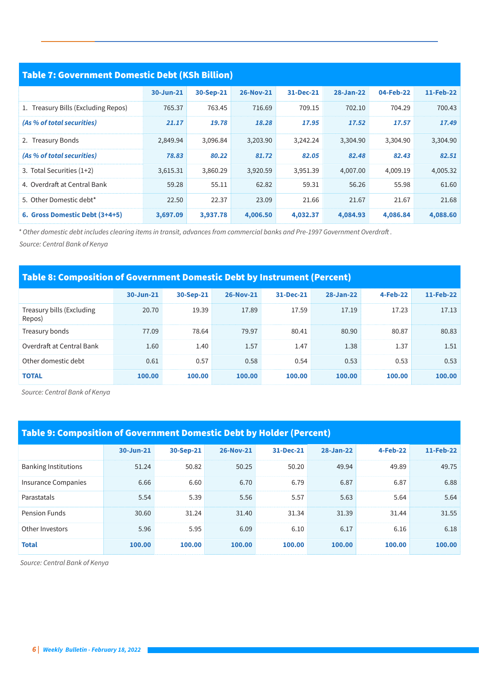| Table 7: Government Domestic Debt (KSh Billion) |           |           |                  |           |           |           |           |  |  |  |  |
|-------------------------------------------------|-----------|-----------|------------------|-----------|-----------|-----------|-----------|--|--|--|--|
|                                                 |           |           |                  |           |           |           |           |  |  |  |  |
|                                                 | 30-Jun-21 | 30-Sep-21 | <b>26-Nov-21</b> | 31-Dec-21 | 28-Jan-22 | 04-Feb-22 | 11-Feb-22 |  |  |  |  |
| 1. Treasury Bills (Excluding Repos)             | 765.37    | 763.45    | 716.69           | 709.15    | 702.10    | 704.29    | 700.43    |  |  |  |  |
| (As % of total securities)                      | 21.17     | 19.78     | 18.28            | 17.95     | 17.52     | 17.57     | 17.49     |  |  |  |  |
| 2. Treasury Bonds                               | 2,849.94  | 3,096.84  | 3,203.90         | 3,242.24  | 3,304.90  | 3,304.90  | 3,304.90  |  |  |  |  |
| (As % of total securities)                      | 78.83     | 80.22     | 81.72            | 82.05     | 82.48     | 82.43     | 82.51     |  |  |  |  |
| 3. Total Securities (1+2)                       | 3,615.31  | 3,860.29  | 3,920.59         | 3,951.39  | 4,007.00  | 4,009.19  | 4,005.32  |  |  |  |  |
| 4. Overdraft at Central Bank                    | 59.28     | 55.11     | 62.82            | 59.31     | 56.26     | 55.98     | 61.60     |  |  |  |  |
| 5. Other Domestic debt*                         | 22.50     | 22.37     | 23.09            | 21.66     | 21.67     | 21.67     | 21.68     |  |  |  |  |
| 6. Gross Domestic Debt (3+4+5)                  | 3,697.09  | 3,937.78  | 4,006.50         | 4,032.37  | 4,084.93  | 4,086.84  | 4,088.60  |  |  |  |  |

*\* Other domestic debt includes clearing items in transit, advances from commercial banks and Pre-1997 Government Overdraft .*

 *Source: Central Bank of Kenya* 

# Table 8: Composition of Government Domestic Debt by Instrument (Percent)

|                                     | $30 - Jun - 21$ | 30-Sep-21 | <b>26-Nov-21</b> | 31-Dec-21 | $28 - Jan-22$ | <b>4-Feb-22</b> | 11-Feb-22 |
|-------------------------------------|-----------------|-----------|------------------|-----------|---------------|-----------------|-----------|
| Treasury bills (Excluding<br>Repos) | 20.70           | 19.39     | 17.89            | 17.59     | 17.19         | 17.23           | 17.13     |
| Treasury bonds                      | 77.09           | 78.64     | 79.97            | 80.41     | 80.90         | 80.87           | 80.83     |
| Overdraft at Central Bank           | 1.60            | 1.40      | 1.57             | 1.47      | 1.38          | 1.37            | 1.51      |
| Other domestic debt                 | 0.61            | 0.57      | 0.58             | 0.54      | 0.53          | 0.53            | 0.53      |
| <b>TOTAL</b>                        | 100.00          | 100.00    | 100.00           | 100.00    | 100.00        | 100.00          | 100.00    |

 *Source: Central Bank of Kenya*

# Table 9: Composition of Government Domestic Debt by Holder (Percent)

|                             | 30-Jun-21 | 30-Sep-21 | <b>26-Nov-21</b> | 31-Dec-21 | 28-Jan-22 | <b>4-Feb-22</b> | 11-Feb-22 |
|-----------------------------|-----------|-----------|------------------|-----------|-----------|-----------------|-----------|
| <b>Banking Institutions</b> | 51.24     | 50.82     | 50.25            | 50.20     | 49.94     | 49.89           | 49.75     |
| Insurance Companies         | 6.66      | 6.60      | 6.70             | 6.79      | 6.87      | 6.87            | 6.88      |
| Parastatals                 | 5.54      | 5.39      | 5.56             | 5.57      | 5.63      | 5.64            | 5.64      |
| <b>Pension Funds</b>        | 30.60     | 31.24     | 31.40            | 31.34     | 31.39     | 31.44           | 31.55     |
| Other Investors             | 5.96      | 5.95      | 6.09             | 6.10      | 6.17      | 6.16            | 6.18      |
| <b>Total</b>                | 100.00    | 100.00    | 100.00           | 100.00    | 100.00    | 100.00          | 100.00    |

 *Source: Central Bank of Kenya*